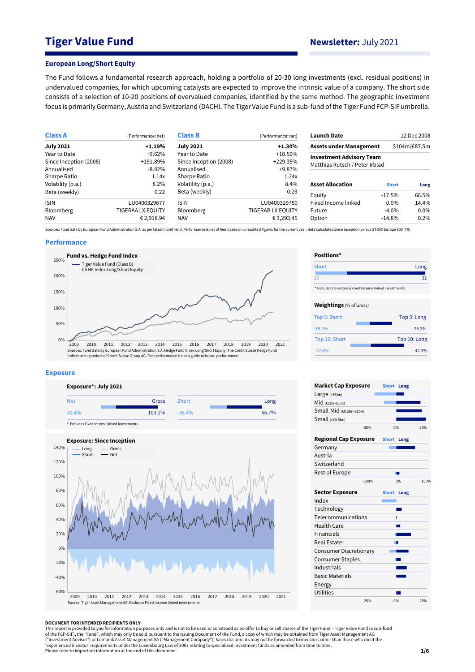# **Tiger Value Fund Newsletter:** July 2021

#### **European Long/Short Equity**

The Fund follows a fundamental research approach, holding a portfolio of 20-30 long investments (excl. residual positions) in undervalued companies, for which upcoming catalysts are expected to improve the intrinsic value of a company. The short side consists of a selection of 10-20 positions of overvalued companies, identified by the same method. The geographic investment focus is primarily Germany, Austria and Switzerland (DACH). The Tiger Value Fund is a sub-fund of the Tiger Fund FCP-SIF umbrella.

| <b>Class A</b>         | (Performance: net)       | <b>Class B</b>         | (Performance: net) | <b>Launch Date</b>              |              | 12 Dec 2008   |
|------------------------|--------------------------|------------------------|--------------------|---------------------------------|--------------|---------------|
| <b>July 2021</b>       | $+1.19%$                 | <b>July 2021</b>       | $+1.30%$           | <b>Assets under Management</b>  |              | \$104m/€87.5m |
| Year to Date           | $+9.62%$                 | Year to Date           | $+10.59\%$         | <b>Investment Advisory Team</b> |              |               |
| Since Inception (2008) | +191.89%                 | Since Inception (2008) | +229.35%           | Matthias Rutsch / Peter Irblad  |              |               |
| Annualised             | $+8.82%$                 | Annualised             | +9.87%             |                                 |              |               |
| Sharpe Ratio           | 1.14x                    | Sharpe Ratio           | 1.24x              |                                 |              |               |
| Volatility (p.a.)      | 8.2%                     | Volatility (p.a.)      | 8.4%               | <b>Asset Allocation</b>         | <b>Short</b> | Long          |
| Beta (weekly)          | 0.22                     | Beta (weekly)          | 0.23               | Equity                          | $-17.5\%$    | 66.5%         |
| <b>ISIN</b>            | LU0400329677             | <b>ISIN</b>            | LU0400329750       | Fixed Income linked             | $0.0\%$      | 14.4%         |
| <b>Bloomberg</b>       | <b>TIGERAA LX EQUITY</b> | <b>Bloomberg</b>       | TIGERAB LX EQUITY  | Future                          | $-4.0\%$     | 0.0%          |
| <b>NAV</b>             | € 2,918.94               | <b>NAV</b>             | € 3,293.45         | Option                          | $-14.8%$     | 0.2%          |

Sources: Fund data by European Fund Administration S.A. as per latest month end. Performance is net of fees based on unaudited figures for the current year. Beta calculated since inception versus STOXX Europe 600 (TR)

### **Performance**



#### **Exposure**





| Positions*                     |                                                        |
|--------------------------------|--------------------------------------------------------|
| Short                          | Long                                                   |
| 15                             | 32                                                     |
|                                | * Excludes Derivatives/Fixed Income linked investments |
| <b>Weightings</b> (% of Gross) |                                                        |
| Top 5: Short                   | Top 5: Long                                            |
| $-19.2%$                       | 26.2%                                                  |
| Top 10: Short                  | Top 10: Long                                           |
| $-27.8%$                       | 42.3%                                                  |

| <b>Market Cap Exposure</b>    |         | Short Long   |      |      |
|-------------------------------|---------|--------------|------|------|
| Large (>€5bn)                 |         |              |      |      |
| Mid $(61bn - 65bn)$           |         |              |      |      |
| Small-Mid (€0.5bn-€1bn)       |         |              |      |      |
| Small (<60.5bn)               |         |              |      |      |
|                               | $-30%$  |              | 0%   | 30%  |
| <b>Regional Cap Exposure</b>  |         | <b>Short</b> | Long |      |
| Germany                       |         |              |      |      |
| Austria                       |         |              |      |      |
| Switzerland                   |         |              |      |      |
| Rest of Europe                |         |              |      |      |
|                               | $-100%$ |              | 0%   | 100% |
| <b>Sector Exposure</b>        |         | <b>Short</b> | Long |      |
| Index                         |         |              |      |      |
| Technology                    |         |              |      |      |
| Telecommunications            |         |              | ī    |      |
| Health Care                   |         |              |      |      |
| Financials                    |         |              |      |      |
| Real Estate                   |         |              | ╍    |      |
| <b>Consumer Discretionary</b> |         |              |      |      |
| <b>Consumer Staples</b>       |         |              |      |      |
| Industrials                   |         |              |      |      |
| <b>Basic Materials</b>        |         |              |      |      |
| Energy                        |         |              |      |      |
| Utilities                     |         |              |      |      |
|                               | $-25%$  |              | 0%   | 25%  |

#### **DOCUMENT FOR INTENDED RECIPIENTS ONLY**

This report is provided to you for information purposes only and is not to be used or construed as an offer to buy or sell shares of the Tiger Fund – Tiger Value Fund (a sub-fund<br>of the FCP-SIF), the "Fund", which may only ("Investment Advisor") or Lemanik Asset Management SA ("Management Company"). Sales documents may not be forwarded to investors other than those who meet the<br>'experienced investor' requirements under the Luxembourg Law of Please refer to important information at the end of this document.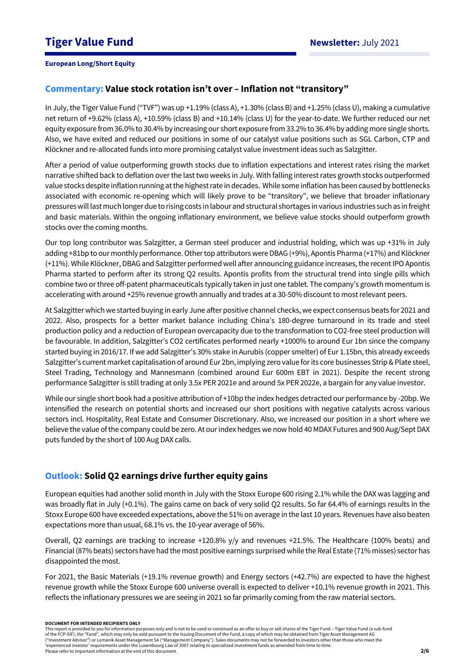## **Commentary: Value stock rotation isn't over – Inflation not "transitory"**

In July, the Tiger Value Fund ("TVF") was up +1.19% (class A), +1.30% (class B) and +1.25% (class U), making a cumulative net return of +9.62% (class A), +10.59% (class B) and +10.14% (class U) for the year-to-date. We further reduced our net equity exposure from 36.0% to 30.4% by increasing our short exposure from 33.2% to 36.4%by addingmore single shorts. Also, we have exited and reduced our positions in some of our catalyst value positions such as SGL Carbon, CTP and Klöckner and re-allocated funds into more promising catalyst value investment ideas such as Salzgitter.

After a period of value outperforming growth stocks due to inflation expectations and interest rates rising the market narrative shifted back to deflation over the last two weeks in July. With falling interest rates growth stocks outperformed value stocks despite inflation running at the highest rate in decades. While some inflation has been caused by bottlenecks associated with economic re-opening which will likely prove to be "transitory", we believe that broader inflationary pressures will last much longer due to rising costs in labour and structural shortages in various industries such as in freight and basic materials. Within the ongoing inflationary environment, we believe value stocks should outperform growth stocks over the coming months.

Our top long contributor was Salzgitter, a German steel producer and industrial holding, which was up +31% in July adding +81bp to our monthly performance. Other top attributors were DBAG(+9%), Apontis Pharma (+17%) and Klöckner (+11%). While Klöckner, DBAG and Salzgitter performed well after announcing guidance increases, the recent IPO Apontis Pharma started to perform after its strong Q2 results. Apontis profits from the structural trend into single pills which combine two or three off-patent pharmaceuticals typically taken in just one tablet. The company's growth momentum is accelerating with around +25% revenue growth annually and trades at a 30-50% discount to most relevant peers.

At Salzgitter which we started buying in early June after positive channel checks, we expect consensus beats for 2021 and 2022. Also, prospects for a better market balance including China's 180-degree turnaround in its trade and steel production policy and a reduction of European overcapacity due to the transformation to CO2-free steel production will be favourable. In addition, Salzgitter's CO2 certificates performed nearly +1000% to around Eur 1bn since the company started buying in 2016/17. If we add Salzgitter's 30% stake in Aurubis (copper smelter) of Eur 1.15bn,this already exceeds Salzgitter's current market capitalisation of around Eur 2bn, implying zero value for its core businesses Strip & Plate steel, Steel Trading, Technology and Mannesmann (combined around Eur 600m EBT in 2021). Despite the recent strong performance Salzgitter is still trading at only 3.5x PER 2021e and around 5x PER 2022e, a bargain for any value investor.

While our single short book had a positive attribution of +10bp the index hedges detracted our performance by -20bp. We intensified the research on potential shorts and increased our short positions with negative catalysts across various sectors incl. Hospitality, Real Estate and Consumer Discretionary. Also, we increased our position in a short where we believe the value of the company could be zero. At our index hedges we now hold 40 MDAX Futures and 900 Aug/Sept DAX puts funded by the short of 100 Aug DAX calls.

# **Outlook: Solid Q2 earnings drive further equity gains**

European equities had another solid month in July with the Stoxx Europe 600 rising 2.1% while the DAX was lagging and was broadly flat in July (+0.1%). The gains came on back of very solid Q2 results. So far 64.4% of earnings results in the Stoxx Europe 600 have exceeded expectations, above the 51% on average in the last 10 years. Revenues have also beaten expectations more than usual, 68.1% vs. the 10-year average of 56%.

Overall, Q2 earnings are tracking to increase +120.8% y/y and revenues +21.5%. The Healthcare (100% beats) and Financial (87% beats) sectors have had the most positive earnings surprised while the Real Estate (71% misses) sector has disappointed the most.

For 2021, the Basic Materials (+19.1% revenue growth) and Energy sectors (+42.7%) are expected to have the highest revenue growth while the Stoxx Europe 600 universe overall is expected to deliver +10.1% revenue growth in 2021. This reflects the inflationary pressures we are seeing in 2021 so far primarily coming from the raw material sectors.

#### **DOCUMENT FOR INTENDED RECIPIENTS ONLY**

This report is provided to you for information purposes only and is not to be used or construed as an offer to buy or sell shares of the Tiger Fund – Tiger Value Fund (a sub-fund of the FCP-SIF), the "Fund", which may only be sold pursuant to the Issuing Document of the Fund, a copy of which may be obtained from Tiger Asset Management AG ("Investment Advisor") or Lemanik Asset Management SA ("Management Company"). Sales documents may not be forwarded to investors other than those who meet the 'experienced investor' requirements under the Luxembourg Law of 2007 relating to specialized investment funds as amended from time to time. Please refer to important information at the end of this document.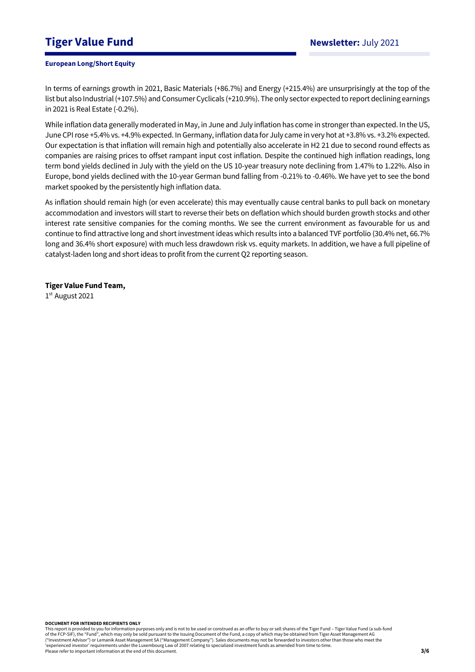# **Tiger Value Fund Newsletter:** July 2021

## **European Long/Short Equity**

In terms of earnings growth in 2021, Basic Materials (+86.7%) and Energy (+215.4%) are unsurprisingly at the top of the list but also Industrial (+107.5%) and Consumer Cyclicals (+210.9%). The only sector expected to report declining earnings in 2021 is Real Estate (-0.2%).

While inflation data generally moderated in May, in June and July inflation has come in stronger than expected. In the US, June CPI rose +5.4% vs. +4.9% expected. In Germany, inflation data for July came in very hot at +3.8% vs. +3.2% expected. Our expectation is that inflation will remain high and potentially also accelerate in H2 21 due to second round effects as companies are raising prices to offset rampant input cost inflation. Despite the continued high inflation readings, long term bond yields declined in July with the yield on the US 10-year treasury note declining from 1.47% to 1.22%. Also in Europe, bond yields declined with the 10-year German bund falling from -0.21% to -0.46%. We have yet to see the bond market spooked by the persistently high inflation data.

As inflation should remain high (or even accelerate) this may eventually cause central banks to pull back on monetary accommodation and investors will start to reverse their bets on deflation which should burden growth stocks and other interest rate sensitive companies for the coming months. We see the current environment as favourable for us and continue to find attractive long and short investment ideas which results into a balanced TVF portfolio (30.4% net, 66.7% long and 36.4% short exposure) with much less drawdown risk vs. equity markets. In addition, we have a full pipeline of catalyst-laden long and short ideas to profit from the current Q2 reporting season.

## **Tiger Value Fund Team,**

1 st August 2021

**DOCUMENT FOR INTENDED RECIPIENTS ONLY**

This report is provided to you for information purposes only and is not to be used or construed as an offer to buy or sell shares of the Tiger Fund – Tiger Value Fund (a sub-fund of the FCP-SIF), the "Fund", which may only be sold pursuant to the Issuing Document of the Fund, a copy of which may be obtained from Tiger Asset Management AG ("Investment Advisor") or Lemanik Asset Management SA ("Management Company"). Sales documents may not be forwarded to investors other than those who meet the 'experienced investor' requirements under the Luxembourg Law of 2007 relating to specialized investment funds as amended from time to time. Please refer to important information at the end of this document.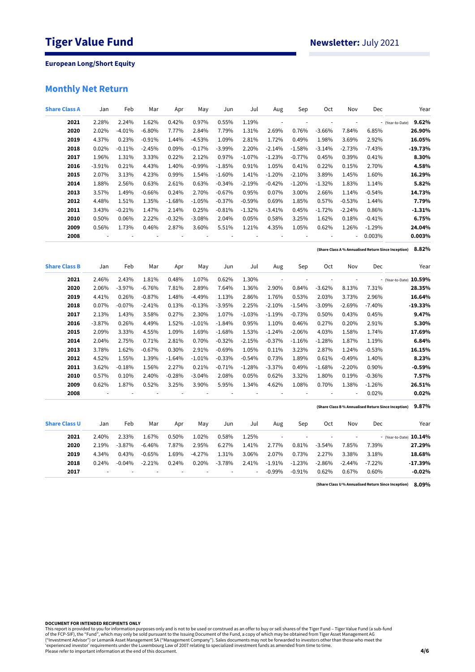# **Monthly Net Return**

| <b>Share Class A</b> | Jan           | Feb                      | Mar      | Apr      | May      | Jun      | Jul      | Aug                      | Sep                      | Oct                      | Nov                      | Dec      | Year                                                         |
|----------------------|---------------|--------------------------|----------|----------|----------|----------|----------|--------------------------|--------------------------|--------------------------|--------------------------|----------|--------------------------------------------------------------|
| 2021                 | 2.28%         | 2.24%                    | 1.62%    | 0.42%    | 0.97%    | 0.55%    | 1.19%    | $\overline{\phantom{a}}$ | ł,                       | ÷,                       | i,                       |          | 9.62%<br>- (Year-to-Date)                                    |
| 2020                 | 2.02%         | $-4.01%$                 | $-6.80%$ | 7.77%    | 2.84%    | 7.79%    | 1.31%    | 2.69%                    | 0.76%                    | $-3.66%$                 | 7.84%                    | 6.85%    | 26.90%                                                       |
| 2019                 | 4.37%         | 0.23%                    | $-0.91%$ | 1.44%    | $-4.53%$ | 1.09%    | 2.81%    | 1.72%                    | 0.49%                    | 1.98%                    | 3.69%                    | 2.92%    | 16.05%                                                       |
| 2018                 | 0.02%         | $-0.11%$                 | $-2.45%$ | 0.09%    | $-0.17%$ | $-3.99%$ | 2.20%    | $-2.14%$                 | $-1.58%$                 | $-3.14%$                 | $-2.73%$                 | $-7.43%$ | $-19.73%$                                                    |
| 2017                 | 1.96%         | 1.31%                    | 3.33%    | 0.22%    | 2.12%    | 0.97%    | $-1.07%$ | $-1.23%$                 | $-0.77%$                 | 0.45%                    | 0.39%                    | 0.41%    | 8.30%                                                        |
| 2016                 | $-3.91%$      | 0.21%                    | 4.43%    | 1.40%    | $-0.99%$ | $-1.85%$ | 0.91%    | 1.05%                    | 0.41%                    | 0.22%                    | 0.15%                    | 2.70%    | 4.58%                                                        |
| 2015                 | 2.07%         | 3.13%                    | 4.23%    | 0.99%    | 1.54%    | $-1.60%$ | 1.41%    | $-1.20%$                 | $-2.10%$                 | 3.89%                    | 1.45%                    | 1.60%    | 16.29%                                                       |
| 2014                 | 1.88%         | 2.56%                    | 0.63%    | 2.61%    | 0.63%    | $-0.34%$ | $-2.19%$ | $-0.42%$                 | $-1.20%$                 | $-1.32%$                 | 1.83%                    | 1.14%    | 5.82%                                                        |
| 2013                 | 3.57%         | 1.49%                    | $-0.66%$ | 0.24%    | 2.70%    | $-0.67%$ | 0.95%    | 0.07%                    | 3.00%                    | 2.66%                    | 1.14%                    | $-0.54%$ | 14.73%                                                       |
| 2012                 | 4.48%         | 1.51%                    | 1.35%    | $-1.68%$ | $-1.05%$ | $-0.37%$ | $-0.59%$ | 0.69%                    | 1.85%                    | 0.57%                    | $-0.53%$                 | 1.44%    | 7.79%                                                        |
| 2011                 | 3.43%         | $-0.21%$                 | 1.47%    | 2.14%    | 0.25%    | $-0.81%$ | $-1.32%$ | $-3.41%$                 | 0.45%                    | $-1.72%$                 | $-2.24%$                 | 0.86%    | $-1.31%$                                                     |
| 2010                 | 0.50%         | 0.06%                    | 2.22%    | $-0.32%$ | $-3.08%$ | 2.04%    | 0.05%    | 0.58%                    | 3.25%                    | 1.62%                    | 0.18%                    | $-0.41%$ | 6.75%                                                        |
| 2009                 | 0.56%         | 1.73%                    | 0.46%    | 2.87%    | 3.60%    | 5.51%    | 1.21%    | 4.35%                    | 1.05%                    | 0.62%                    | 1.26%                    | $-1.29%$ | 24.04%                                                       |
| 2008                 | $\frac{1}{2}$ | $\overline{\phantom{a}}$ | ł,       | ÷,       |          |          | ÷,       | ÷,                       | ł,                       | ÷                        | ÷,                       | 0.003%   | 0.003%                                                       |
|                      |               |                          |          |          |          |          |          |                          |                          |                          |                          |          | 8.82%<br>(Share Class A % Annualised Return Since Inception) |
| <b>Share Class B</b> | Jan           | Feb                      | Mar      | Apr      | May      | Jun      | Jul      | Aug                      | Sep                      | Oct                      | Nov                      | Dec      | Year                                                         |
| 2021                 | 2.46%         | 2.43%                    | 1.81%    | 0.48%    | 1.07%    | 0.62%    | 1.30%    | $\overline{\phantom{a}}$ |                          | $\overline{\phantom{a}}$ | $\overline{\phantom{a}}$ |          | - (Year-to-Date) 10.59%                                      |
| 2020                 | 2.06%         | $-3.97%$                 | $-6.76%$ | 7.81%    | 2.89%    | 7.64%    | 1.36%    | 2.90%                    | 0.84%                    | $-3.62%$                 | 8.13%                    | 7.31%    | 28.35%                                                       |
| 2019                 | 4.41%         | 0.26%                    | $-0.87%$ | 1.48%    | $-4.49%$ | 1.13%    | 2.86%    | 1.76%                    | 0.53%                    | 2.03%                    | 3.73%                    | 2.96%    | 16.64%                                                       |
| 2018                 | 0.07%         | $-0.07%$                 | $-2.41%$ | 0.13%    | $-0.13%$ | $-3.95%$ | 2.25%    | $-2.10%$                 | $-1.54%$                 | $-3.09%$                 | $-2.69%$                 | $-7.40%$ | $-19.33%$                                                    |
| 2017                 | 2.13%         | 1.43%                    | 3.58%    | 0.27%    | 2.30%    | 1.07%    | $-1.03%$ | $-1.19%$                 | $-0.73%$                 | 0.50%                    | 0.43%                    | 0.45%    | 9.47%                                                        |
| 2016                 | $-3.87%$      | 0.26%                    | 4.49%    | 1.52%    | $-1.01%$ | $-1.84%$ | 0.95%    | 1.10%                    | 0.46%                    | 0.27%                    | 0.20%                    | 2.91%    | 5.30%                                                        |
| 2015                 | 2.09%         | 3.33%                    | 4.55%    | 1.09%    | 1.69%    | $-1.68%$ | 1.53%    | $-1.24%$                 | $-2.06%$                 | 4.03%                    | 1.58%                    | 1.74%    | 17.69%                                                       |
| 2014                 | 2.04%         | 2.75%                    | 0.71%    | 2.81%    | 0.70%    | $-0.32%$ | $-2.15%$ | $-0.37%$                 | $-1.16%$                 | $-1.28%$                 | 1.87%                    | 1.19%    | 6.84%                                                        |
| 2013                 | 3.78%         | 1.62%                    | $-0.67%$ | 0.30%    | 2.91%    | $-0.69%$ | 1.05%    | 0.11%                    | 3.23%                    | 2.87%                    | 1.24%                    | $-0.53%$ | 16.15%                                                       |
| 2012                 | 4.52%         | 1.55%                    | 1.39%    | $-1.64%$ | $-1.01%$ | $-0.33%$ | $-0.54%$ | 0.73%                    | 1.89%                    | 0.61%                    | $-0.49%$                 | 1.40%    | 8.23%                                                        |
| 2011                 | 3.62%         | $-0.18%$                 | 1.56%    | 2.27%    | 0.21%    | $-0.71%$ | $-1.28%$ | $-3.37%$                 | 0.49%                    | $-1.68%$                 | $-2.20%$                 | 0.90%    | $-0.59%$                                                     |
| 2010                 | 0.57%         | 0.10%                    | 2.40%    | $-0.28%$ | $-3.04%$ | 2.08%    | 0.05%    | 0.62%                    | 3.32%                    | 1.80%                    | 0.19%                    | $-0.36%$ | 7.57%                                                        |
| 2009                 | 0.62%         | 1.87%                    | 0.52%    | 3.25%    | 3.90%    | 5.95%    | 1.34%    | 4.62%                    | 1.08%                    | 0.70%                    | 1.38%                    | $-1.26%$ | 26.51%                                                       |
| 2008                 | ÷,            | ÷,                       | ÷,       | ÷,       | ÷,       |          | ÷,       | ÷,                       | $\overline{\phantom{a}}$ | ÷,                       | ÷,                       | 0.02%    | 0.02%                                                        |
|                      |               |                          |          |          |          |          |          |                          |                          |                          |                          |          | 9.87%<br>(Share Class B% Annualised Return Since Inception)  |
| <b>Share Class U</b> | Jan           | Feb                      | Mar      | Apr      | May      | Jun      | Jul      | Aug                      | Sep                      | Oct                      | Nov                      | Dec      | Year                                                         |
| 2021                 | 2.40%         | 2.33%                    | 1.67%    | 0.50%    | 1.02%    | 0.58%    | 1.25%    | $\overline{\phantom{a}}$ | ÷,                       | $\overline{\phantom{a}}$ | $\overline{\phantom{a}}$ |          | - (Year-to-Date) 10.14%                                      |
| 2020                 | 2.19%         | $-3.87%$                 | $-6.46%$ | 7.87%    | 2.95%    | 6.27%    | 1.41%    | 2.77%                    | 0.81%                    | $-3.54%$                 | 7.85%                    | 7.39%    | 27.29%                                                       |
| 2019                 | 4.34%         | 0.43%                    | $-0.65%$ | 1.69%    | $-4.27%$ | 1.31%    | 3.06%    | 2.07%                    | 0.73%                    | 2.27%                    | 3.38%                    | 3.18%    | 18.68%                                                       |
| 2018                 | 0.24%         | $-0.04%$                 | $-2.21%$ | 0.24%    | 0.20%    | $-3.78%$ | 2.41%    | $-1.91%$                 | $-1.23%$                 | $-2.86%$                 | $-2.44%$                 | $-7.22%$ | $-17.39%$                                                    |
| 2017                 |               |                          |          |          |          |          | ä,       | $-0.99%$                 | $-0.91%$                 | 0.62%                    | 0.67%                    | 0.60%    | $-0.02%$                                                     |

**8.09% (Share Class U % Annualised Return Since Inception)**

**DOCUMENT FOR INTENDED RECIPIENTS ONLY**

This report is provided to you for information purposes only and is not to be used or construed as an offer to buy or sell shares of the Tiger Fund – Tiger Value Fund (a sub-fund<br>of the FCP-SIF), the "Fund", which may only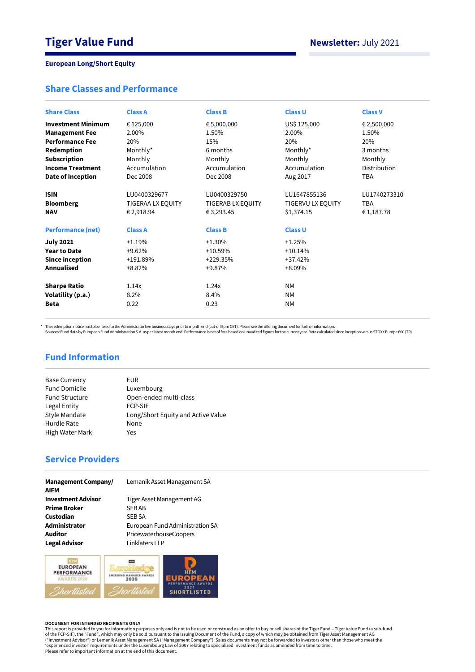# **Share Classes and Performance**

| <b>Share Class</b>        | <b>Class A</b>    | <b>Class B</b>    | <b>Class U</b>    | <b>Class V</b> |
|---------------------------|-------------------|-------------------|-------------------|----------------|
| <b>Investment Minimum</b> | € 125,000         | € 5,000,000       | US\$ 125,000      | € 2,500,000    |
| <b>Management Fee</b>     | 2.00%             | 1.50%             | 2.00%             | 1.50%          |
| <b>Performance Fee</b>    | 20%               | 15%               | 20%               | 20%            |
| Redemption                | Monthly*          | 6 months          | Monthly*          | 3 months       |
| <b>Subscription</b>       | Monthly           | Monthly           | Monthly           | Monthly        |
| <b>Income Treatment</b>   | Accumulation      | Accumulation      | Accumulation      | Distribution   |
| Date of Inception         | Dec 2008          | Dec 2008          | Aug 2017          | <b>TBA</b>     |
|                           |                   |                   |                   |                |
| <b>ISIN</b>               | LU0400329677      | LU0400329750      | LU1647855136      | LU1740273310   |
| <b>Bloomberg</b>          | TIGERAA LX EQUITY | TIGERAB LX EQUITY | TIGERVU LX EQUITY | <b>TBA</b>     |
| <b>NAV</b>                | € 2,918.94        | € 3,293.45        | \$1,374.15        | € 1,187.78     |
|                           |                   |                   |                   |                |
| <b>Performance (net)</b>  | <b>Class A</b>    | <b>Class B</b>    | <b>Class U</b>    |                |
| <b>July 2021</b>          | $+1.19%$          | $+1.30%$          | $+1.25%$          |                |
| <b>Year to Date</b>       | $+9.62%$          | $+10.59%$         | $+10.14%$         |                |
| <b>Since inception</b>    | +191.89%          | +229.35%          | $+37.42%$         |                |
| Annualised                | $+8.82%$          | +9.87%            | $+8.09%$          |                |
|                           |                   |                   |                   |                |
| <b>Sharpe Ratio</b>       | 1.14x             | 1.24x             | <b>NM</b>         |                |
| Volatility (p.a.)         | 8.2%              | 8.4%              | <b>NM</b>         |                |
| <b>Beta</b>               | 0.22              | 0.23              | <b>NM</b>         |                |
|                           |                   |                   |                   |                |

\* The redemption notice has to be faxed to the Administrator five business days prior to month end (cut-off 5pm CET). Please see the offering document for further information.<br>Sources: Fund data by European Fund Administra

# **Fund Information**

| EUR                                |
|------------------------------------|
| Luxembourg                         |
| Open-ended multi-class             |
| <b>FCP-SIF</b>                     |
| Long/Short Equity and Active Value |
| None                               |
| Yes                                |
|                                    |

# **Service Providers**

| <b>Management Company/</b><br><b>AIFM</b> | Lemanik Asset Management SA     |
|-------------------------------------------|---------------------------------|
| <b>Investment Advisor</b>                 | Tiger Asset Management AG       |
| <b>Prime Broker</b>                       | <b>SEBAB</b>                    |
| Custodian                                 | <b>SEB SA</b>                   |
| Administrator                             | European Fund Administration SA |
| <b>Auditor</b>                            | PricewaterhouseCoopers          |
| <b>Legal Advisor</b>                      | Linklaters LLP                  |



#### **DOCUMENT FOR INTENDED RECIPIENTS ONLY**

This report is provided to you for information purposes only and is not to be used or construed as an offer to buy or sell shares of the Tiger Fund – Tiger Value Fund (a sub-fund<br>of the FCP-SIF), the "Fund", which may only